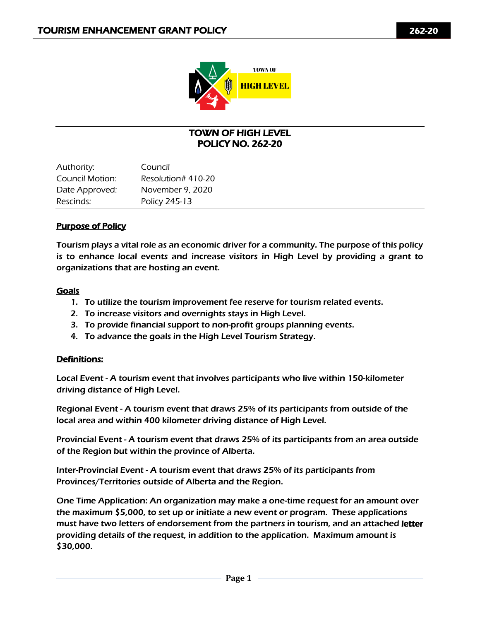

## TOWN OF HIGH LEVEL POLICY NO. 262-20

| Authority:      | Council            |
|-----------------|--------------------|
| Council Motion: | Resolution# 410-20 |
| Date Approved:  | November 9, 2020   |
| Rescinds:       | Policy 245-13      |

## Purpose of Policy

Tourism plays a vital role as an economic driver for a community. The purpose of this policy is to enhance local events and increase visitors in High Level by providing a grant to organizations that are hosting an event.

### Goals

- 1. To utilize the tourism improvement fee reserve for tourism related events.
- 2. To increase visitors and overnights stays in High Level.
- 3. To provide financial support to non-profit groups planning events.
- 4. To advance the goals in the High Level Tourism Strategy.

#### Definitions:

Local Event - A tourism event that involves participants who live within 150-kilometer driving distance of High Level.

Regional Event - A tourism event that draws 25% of its participants from outside of the local area and within 400 kilometer driving distance of High Level.

Provincial Event - A tourism event that draws 25% of its participants from an area outside of the Region but within the province of Alberta.

Inter-Provincial Event - A tourism event that draws 25% of its participants from Provinces/Territories outside of Alberta and the Region.

One Time Application: An organization may make a one-time request for an amount over the maximum \$5,000, to set up or initiate a new event or program. These applications must have two letters of endorsement from the partners in tourism, and an attached letter providing details of the request, in addition to the application. Maximum amount is \$30,000.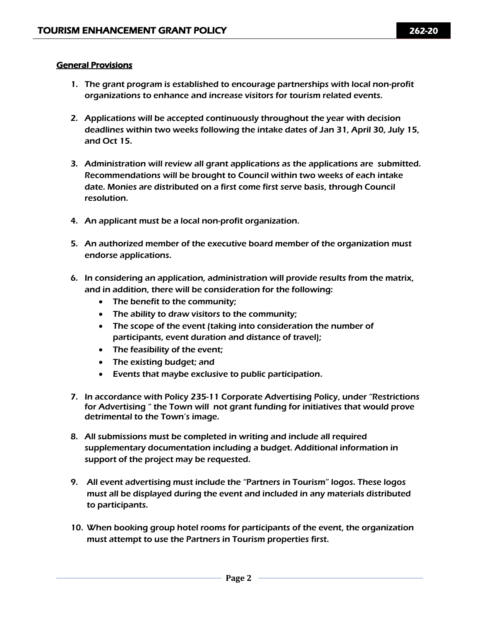### General Provisions

- 1. The grant program is established to encourage partnerships with local non-profit organizations to enhance and increase visitors for tourism related events.
- 2. Applications will be accepted continuously throughout the year with decision deadlines within two weeks following the intake dates of Jan 31, April 30, July 15, and Oct 15.
- 3. Administration will review all grant applications as the applications are submitted. Recommendations will be brought to Council within two weeks of each intake date. Monies are distributed on a first come first serve basis, through Council resolution.
- 4. An applicant must be a local non-profit organization.
- 5. An authorized member of the executive board member of the organization must endorse applications.
- 6. In considering an application, administration will provide results from the matrix, and in addition, there will be consideration for the following:
	- The benefit to the community;
	- The ability to draw visitors to the community;
	- The scope of the event (taking into consideration the number of participants, event duration and distance of travel);
	- The feasibility of the event;
	- The existing budget; and
	- Events that maybe exclusive to public participation.
- 7. In accordance with Policy 235-11 Corporate Advertising Policy, under "Restrictions for Advertising " the Town will not grant funding for initiatives that would prove detrimental to the Town's image.
- 8. All submissions must be completed in writing and include all required supplementary documentation including a budget. Additional information in support of the project may be requested.
- 9. All event advertising must include the "Partners in Tourism" logos. These logos must all be displayed during the event and included in any materials distributed to participants.
- 10. When booking group hotel rooms for participants of the event, the organization must attempt to use the Partners in Tourism properties first.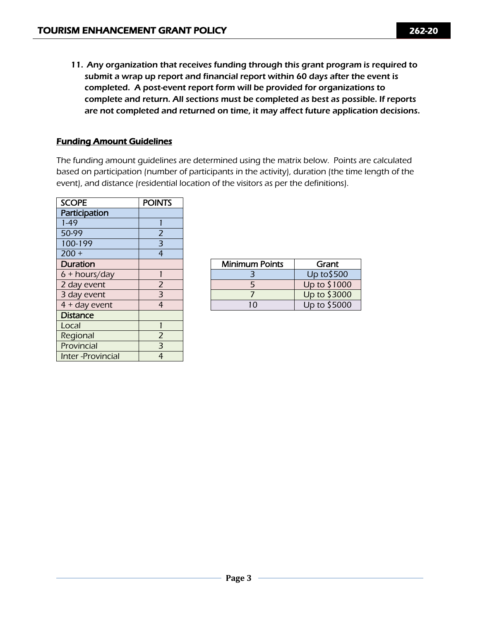11. Any organization that receives funding through this grant program is required to submit a wrap up report and financial report within 60 days after the event is completed. A post-event report form will be provided for organizations to complete and return. All sections must be completed as best as possible. If reports are not completed and returned on time, it may affect future application decisions.

## Funding Amount Guidelines

The funding amount guidelines are determined using the matrix below. Points are calculated based on participation (number of participants in the activity), duration (the time length of the event), and distance (residential location of the visitors as per the definitions).

| <b>SCOPE</b>            | <b>POINTS</b>  |
|-------------------------|----------------|
| Participation           |                |
| $1 - 49$                |                |
| 50-99                   | 2              |
| 100-199                 | 3              |
| $200 +$                 | $\overline{4}$ |
| <b>Duration</b>         |                |
| $6 + hours/day$         | 1              |
| 2 day event             | $\overline{2}$ |
| 3 day event             | 3              |
| $4 + day$ event         | $\overline{4}$ |
| <b>Distance</b>         |                |
| Local                   | 1              |
| Regional                | $\overline{2}$ |
| Provincial              | 3              |
| <b>Inter-Provincial</b> | 4              |

| Duration      |  | <b>Minimum Points</b> | Grant        |
|---------------|--|-----------------------|--------------|
| 6 + hours/day |  |                       | Up to \$500  |
| 2 day event   |  |                       | Up to \$1000 |
| 3 day event   |  |                       | Up to \$3000 |
| 4 + day event |  |                       | Up to \$5000 |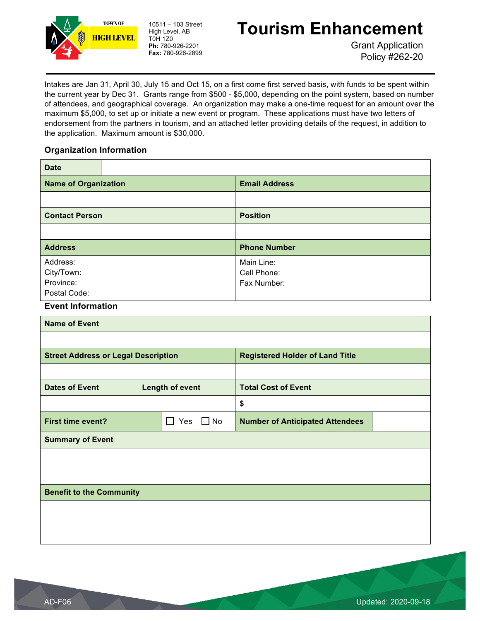

## **Tourism Enhancement**

Grant Application Policy #262-20

Intakes are Jan 31, April 30, July 15 and Oct 15, on a first come first served basis, with funds to be spent within the current year by Dec 31. Grants range from \$500 - \$5,000, depending on the point system, based on number of attendees, and geographical coverage. An organization may make a one-time request for an amount over the maximum \$5,000, to set up or initiate a new event or program. These applications must have two letters of endorsement from the partners in tourism, and an attached letter providing details of the request, in addition to the application. Maximum amount is \$30,000.

#### **Organization Information**

| <b>Date</b>                                         |                         |                        |                                          |  |  |
|-----------------------------------------------------|-------------------------|------------------------|------------------------------------------|--|--|
| <b>Name of Organization</b>                         |                         |                        | <b>Email Address</b>                     |  |  |
|                                                     |                         |                        |                                          |  |  |
| <b>Contact Person</b>                               |                         |                        | <b>Position</b>                          |  |  |
|                                                     |                         |                        |                                          |  |  |
| <b>Address</b>                                      |                         |                        | <b>Phone Number</b>                      |  |  |
| Address:<br>City/Town:<br>Province:<br>Postal Code: |                         |                        | Main Line:<br>Cell Phone:<br>Fax Number: |  |  |
| <b>Event Information</b>                            |                         |                        |                                          |  |  |
| <b>Name of Event</b>                                |                         |                        |                                          |  |  |
|                                                     |                         |                        |                                          |  |  |
| <b>Street Address or Legal Description</b>          |                         |                        | <b>Registered Holder of Land Title</b>   |  |  |
|                                                     |                         |                        |                                          |  |  |
| <b>Dates of Event</b>                               |                         | <b>Length of event</b> | <b>Total Cost of Event</b>               |  |  |
|                                                     |                         |                        | \$                                       |  |  |
| <b>First time event?</b>                            | $\Box$ No<br>$\Box$ Yes |                        | <b>Number of Anticipated Attendees</b>   |  |  |
| <b>Summary of Event</b>                             |                         |                        |                                          |  |  |
|                                                     |                         |                        |                                          |  |  |
| <b>Benefit to the Community</b>                     |                         |                        |                                          |  |  |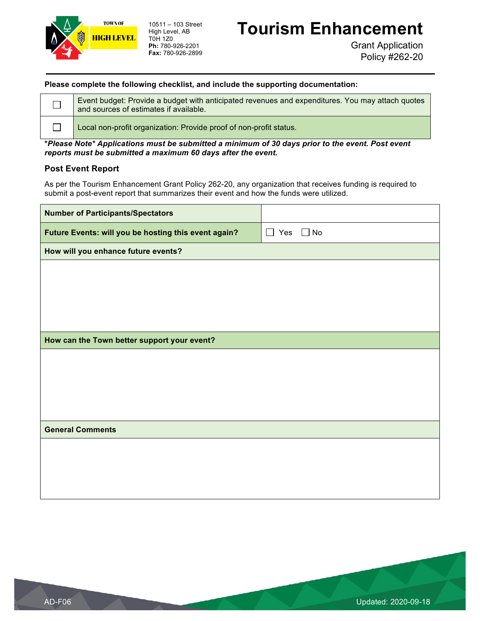

## **Tourism Enhancement**

Grant Application Policy #262-20

#### **Please complete the following checklist, and include the supporting documentation:**

Event budget: Provide a budget with anticipated revenues and expenditures. You may attach quotes  $\Box$ and sources of estimates if available.  $\Box$ Local non-profit organization: Provide proof of non-profit status.

**\****Please Note\* Applications must be submitted a minimum of 30 days prior to the event. Post event reports must be submitted a maximum 60 days after the event.*

#### **Post Event Report**

As per the Tourism Enhancement Grant Policy 262-20, any organization that receives funding is required to submit a post-event report that summarizes their event and how the funds were utilized.

| <b>Number of Participants/Spectators</b>             |                         |
|------------------------------------------------------|-------------------------|
| Future Events: will you be hosting this event again? | Yes $\Box$ No<br>$\Box$ |
| How will you enhance future events?                  |                         |
|                                                      |                         |
|                                                      |                         |
|                                                      |                         |
|                                                      |                         |
| How can the Town better support your event?          |                         |
|                                                      |                         |
|                                                      |                         |
|                                                      |                         |
|                                                      |                         |
| <b>General Comments</b>                              |                         |
|                                                      |                         |
|                                                      |                         |
|                                                      |                         |
|                                                      |                         |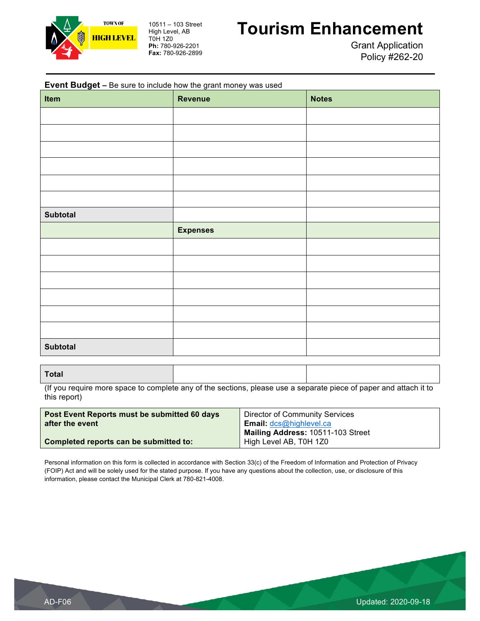

## **Tourism Enhancement**

Grant Application Policy #262-20

| <b>Event Budget - Be sure to include how the grant money was used</b><br>Item | <b>Revenue</b>  | <b>Notes</b> |
|-------------------------------------------------------------------------------|-----------------|--------------|
|                                                                               |                 |              |
|                                                                               |                 |              |
|                                                                               |                 |              |
|                                                                               |                 |              |
|                                                                               |                 |              |
|                                                                               |                 |              |
| <b>Subtotal</b>                                                               |                 |              |
|                                                                               | <b>Expenses</b> |              |
|                                                                               |                 |              |
|                                                                               |                 |              |
|                                                                               |                 |              |
|                                                                               |                 |              |
|                                                                               |                 |              |
|                                                                               |                 |              |
| <b>Subtotal</b>                                                               |                 |              |

(If you require more space to complete any of the sections, please use a separate piece of paper and attach it to this report)

| Post Event Reports must be submitted 60 days | Director of Community Services    |
|----------------------------------------------|-----------------------------------|
| after the event                              | <b>Email:</b> dcs@highlevel.ca    |
|                                              | Mailing Address: 10511-103 Street |
| Completed reports can be submitted to:       | High Level AB, T0H 1Z0            |

Personal information on this form is collected in accordance with Section 33(c) of the Freedom of Information and Protection of Privacy (FOIP) Act and will be solely used for the stated purpose. If you have any questions about the collection, use, or disclosure of this information, please contact the Municipal Clerk at 780-821-4008.

**Total**